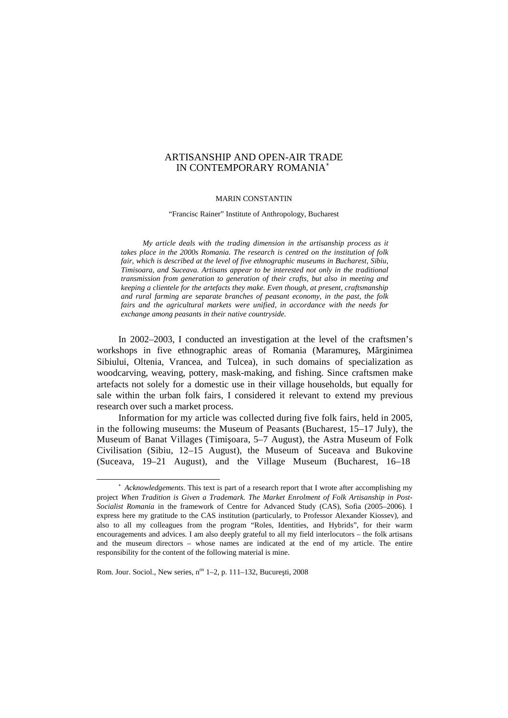#### ARTISANSHIP AND OPEN-AIR TRADE IN CONTEMPORARY ROMANIA ∗

### MARIN CONSTANTIN

"Francisc Rainer" Institute of Anthropology, Bucharest

*My article deals with the trading dimension in the artisanship process as it takes place in the 2000s Romania. The research is centred on the institution of folk fair, which is described at the level of five ethnographic museums in Bucharest, Sibiu, Timisoara, and Suceava. Artisans appear to be interested notonly in the traditional transmission from generation to generation of their crafts, but also in meeting and keeping a clientele for the artefacts they make. Even though, at present, craftsmanship and rural farming are separate branches of peasant economy, in the past, the folk fairs and the agricultural markets were unified, in accordance with the needs for exchange among peasants in their native countryside.*

In 2002–2003, I conducted an investigation at the level of the craftsmen's workshops in five ethnographic areas of Romania (Maramure, M rginimea Sibiului, Oltenia, Vrancea, and Tulcea), in such domains of specialization as woodcarving, weaving, pottery, mask-making, and fishing. Since craftsmen make artefacts not solely for a domestic use in their village households, but equally for sale within the urban folk fairs, I considered it relevant to extend my previous research over such a market process.

Information for my article was collected during five folk fairs, held in 2005, in the following museums: the Museum of Peasants (Bucharest, 15–17 July), the Museum of Banat Villages (Timi oara, 5–7 August), the Astra Museum of Folk Civilisation (Sibiu, 12–15 August), the Museum of Suceava and Bukovine (Suceava, 19–21 August), and the Village Museum (Bucharest, 16–18

Rom. Jour. Sociol., New series, n<sup>os</sup> 1–2, p. 111–132, Bucure ti, 2008

<sup>∗</sup> *Acknowledgements*. This text is part of a research report that I wrote after accomplishing my project *When Tradition is Given a Trademark. The Market Enrolment of Folk Artisanship in Post-* Socialist Romania in the framework of Centre for Advanced Study (CAS), Sofia (2005–2006). I express here my gratitude to the CAS institution (particularly, to Professor Alexander Kiossev), and also to all my colleagues from the program "Roles, Identities, and Hybrids", for their warm encouragements and advices. I am also deeply grateful to all my field interlocutors – the folk artisans and the museum directors – whose names are indicated at the end of my article. The entire responsibility for the content of the following material is mine.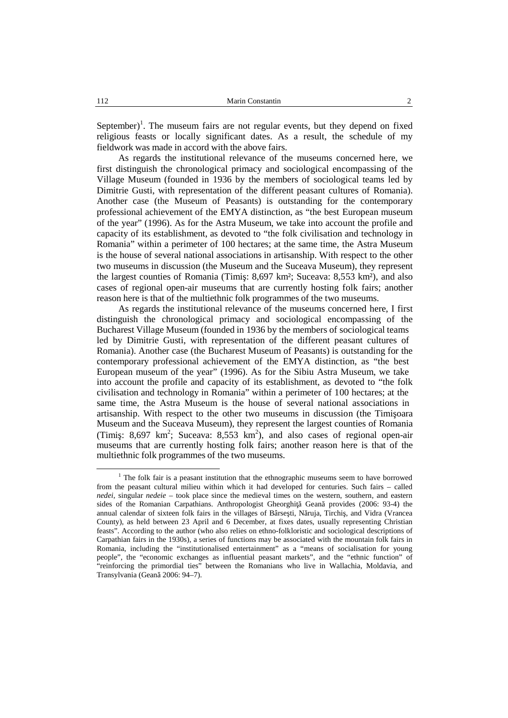September)<sup>1</sup>. The museum fairs are not regular events, but they depend on fixed religious feasts or locally significant dates. As a result, the schedule of my fieldwork was made in accord with the above fairs.

As regards the institutional relevance of the museums concerned here, we first distinguish the chronological primacy and sociological encompassing of the Village Museum (founded in 1936 by the members of sociological teams led by Dimitrie Gusti, with representation of the different peasant cultures of Romania). Another case (the Museum of Peasants) is outstanding for the contemporary professional achievement of the EMYA distinction, as "the best European museum of the year" (1996). As for the Astra Museum, we take into account the profile and capacity of its establishment, as devoted to "the folk civilisation and technology in Romania" within a perimeter of 100 hectares; at the same time, the Astra Museum is the house of several national associations in artisanship. With respect to the other two museums in discussion (the Museum and the Suceava Museum), they represent the largest counties of Romania (Timi : 8,697 km²; Suceava: 8,553 km²), and also cases of regional open-air museums that are currently hosting folk fairs; another reason here is that of the multiethnic folk programmes of the two museums.

As regards the institutional relevance of the museums concerned here, I first distinguish the chronological primacy and sociological encompassing of the Bucharest Village Museum (founded in 1936 by the members of sociological teams led by Dimitrie Gusti, with representation of the different peasant cultures of Romania). Another case (the Bucharest Museum of Peasants) is outstanding for the contemporary professional achievement of the EMYA distinction, as "the best European museum of the year" (1996). As for the Sibiu Astra Museum, we take into account the profile and capacity of its establishment, as devoted to "the folk civilisation and technology in Romania" within a perimeter of 100 hectares; at the same time, the Astra Museum is the house of several national associations in artisanship. With respect to the other two museums in discussion (the Timi oara Museum and the Suceava Museum), they represent the largest counties of Romania (Timi: 8,697 km<sup>2</sup>; Suceava: 8,553 km<sup>2</sup>), and also cases of regional open-air museums that are currently hosting folk fairs; another reason here is that of the multiethnic folk programmes of the two museums.

 $1$  The folk fair is a peasant institution that the ethnographic museums seem to have borrowed from the peasant cultural milieu within which it had developed for centuries. Such fairs – called *nedei*, singular *nedeie* – took place since the medieval times on the western, southern, and eastern sides of the Romanian Carpathians. Anthropologist Gheorghi Gean provides (2006: 93-4) the annual calendar of sixteen folk fairs in the villages of Bârse ti, N ruja, Tirchi, and Vidra (Vrancea County), as held between 23 April and 6 December, at fixes dates, usually representing Christian feasts". According to the author (who also relies on ethno-folkloristic and sociological descriptions of Carpathian fairs in the 1930s), a series of functions may be associated with the mountain folk fairs in Romania, including the "institutionalised entertainment" as a "means of socialisation for young people", the "economic exchanges as influential peasant markets", and the "ethnic function" of "reinforcing the primordial ties" between the Romanians who live in Wallachia, Moldavia, and Transylvania (Gean 2006: 94–7).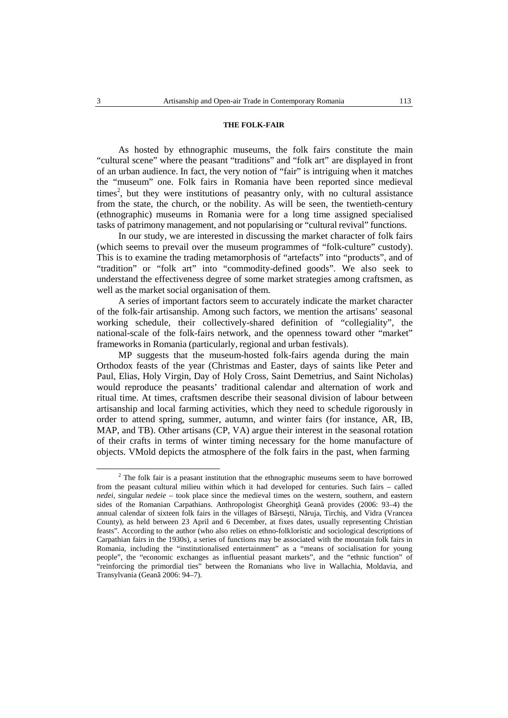# **THE FOLK-FAIR**

As hosted by ethnographic museums, the folk fairs constitute the main "cultural scene" where the peasant "traditions" and "folk art" are displayed in front of an urban audience. In fact, the very notion of "fair" is intriguing when it matches the "museum" one. Folk fairs in Romania have been reported since medieval times 2 , but they were institutions of peasantry only, with no cultural assistance from the state, the church, or the nobility. As will be seen, the twentieth-century (ethnographic) museums in Romania were for a long time assigned specialised tasks of patrimony management, and not popularising or "cultural revival" functions.

In our study, we are interested in discussing the market character of folk fairs (which seems to prevail over the museum programmes of "folk-culture" custody). This is to examine the trading metamorphosis of "artefacts" into "products", and of "tradition" or "folk art" into "commodity-defined goods". We also seek to understand the effectiveness degree of some market strategies among craftsmen, as well as the market social organisation of them.

A series of important factors seem to accurately indicate the market character of the folk-fair artisanship. Among such factors, we mention the artisans' seasonal working schedule, their collectively-shared definition of "collegiality", the national-scale of the folk-fairs network, and the openness toward other "market" frameworks in Romania (particularly, regional and urban festivals).

MP suggests that the museum-hosted folk-fairs agenda during the main Orthodox feasts of the year (Christmas and Easter, days of saints like Peter and Paul, Elias, Holy Virgin, Day of Holy Cross, Saint Demetrius, and Saint Nicholas) would reproduce the peasants' traditional calendar and alternation of work and ritual time. At times, craftsmen describe their seasonal division of labour between artisanship and local farming activities, which they need to schedule rigorously in order to attend spring, summer, autumn, and winter fairs (for instance, AR, IB, MAP, and TB). Other artisans (CP, VA) argue their interest in the seasonal rotation of their crafts in terms of winter timing necessary for the home manufacture of objects. VMold depicts the atmosphere of the folk fairs in the past, when farming

 $2$  The folk fair is a peasant institution that the ethnographic museums seem to have borrowed from the peasant cultural milieu within which it had developed for centuries. Such fairs – called *nedei*, singular *nedeie* – took place since the medieval times on the western, southern, and eastern sides of the Romanian Carpathians. Anthropologist Gheorghi Gean provides (2006: 93–4) the annual calendar of sixteen folk fairs in the villages of Bârse ti, N ruja, Tirchi, and Vidra (Vrancea County), as held between 23 April and 6 December, at fixes dates, usually representing Christian feasts". According to the author (who also relies on ethno-folkloristic and sociological descriptions of Carpathian fairs in the 1930s), a series of functions may be associated with the mountain folk fairs in Romania, including the "institutionalised entertainment" as a "means of socialisation for young people", the "economic exchanges as influential peasant markets", and the "ethnic function" of "reinforcing the primordial ties" between the Romanians who live in Wallachia, Moldavia, and Transylvania (Gean 2006: 94–7).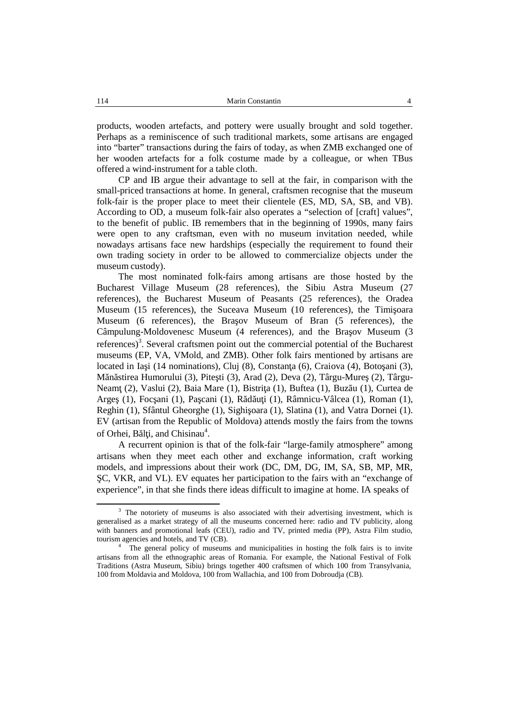products, wooden artefacts, and pottery were usually brought and sold together. Perhaps as a reminiscence of such traditional markets, some artisans are engaged into "barter" transactions during the fairs of today, as when ZMB exchanged one of her wooden artefacts for a folk costume made by a colleague, or when TBus offered a wind-instrument for a table cloth.

CP and IB argue their advantage to sell at the fair, in comparison with the small-priced transactions at home. In general, craftsmen recognise that the museum folk-fair is the proper place to meet their clientele (ES, MD, SA, SB, and VB). According to OD, a museum folk-fair also operates a "selection of [craft] values", to the benefit of public. IB remembers that in the beginning of 1990s, many fairs were open to any craftsman, even with no museum invitation needed, while nowadays artisans face new hardships (especially the requirement to found their own trading society in order to be allowed to commercialize objects under the museum custody).

The most nominated folk-fairs among artisans are those hosted by the Bucharest Village Museum (28 references), the Sibiu Astra Museum (27 references), the Bucharest Museum of Peasants (25 references), the Oradea Museum (15 references), the Suceava Museum (10 references), the Timi oara Museum (6 references), the Bra ov Museum of Bran (5 references), the Câmpulung-Moldovenesc Museum (4 references), and the Bra ov Museum (3 references) 3 . Several craftsmen point out the commercial potential of the Bucharest museums (EP, VA, VMold, and ZMB). Other folk fairs mentioned by artisans are located in Ia  $i$  (14 nominations), Cluj (8), Constan a (6), Craiova (4), Boto ani (3), M n stirea Humorului (3), Pite ti (3), Arad (2), Deva (2), Târgu-Mure (2), Târgu-Neam (2), Vaslui (2), Baia Mare (1), Bistri a (1), Buftea (1), Buz u (1), Curtea de Arge (1), Foc ani (1), Pa cani (1), R d u i (1), Râmnicu-Vâlcea (1), Roman (1), Reghin (1), Sfântul Gheorghe (1), Sighi oara (1), Slatina (1), and Vatra Dornei (1). EV (artisan from the Republic of Moldova) attends mostly the fairs from the towns of Orhei,  $B \, 1$  i, and Chisinau<sup>4</sup>.

A recurrent opinion is that of the folk-fair "large-family atmosphere" among artisans when they meet each other and exchange information, craft working models, and impressions about their work (DC, DM, DG, IM, SA, SB, MP, MR, C, VKR, and VL). EV equates her participation to the fairs with an "exchange of experience", in that she finds there ideas difficult to imagine at home. IA speaks of

 $3$  The notoriety of museums is also associated with their advertising investment, which is generalised as a market strategy of all the museums concerned here: radio and TV publicity, along with banners and promotional leafs (CEU), radio and TV, printed media (PP), Astra Film studio, tourism agencies and hotels, and TV (CB).

 $\frac{4}{\pi}$ . The general policy of museums and municipalities in hosting the folk fairs is to invite artisans from all the ethnographic areas of Romania. For example, the National Festival of Folk Traditions (Astra Museum, Sibiu) brings together 400 craftsmen of which 100 from Transylvania, 100 from Moldavia and Moldova, 100 from Wallachia, and 100 from Dobroudja (CB).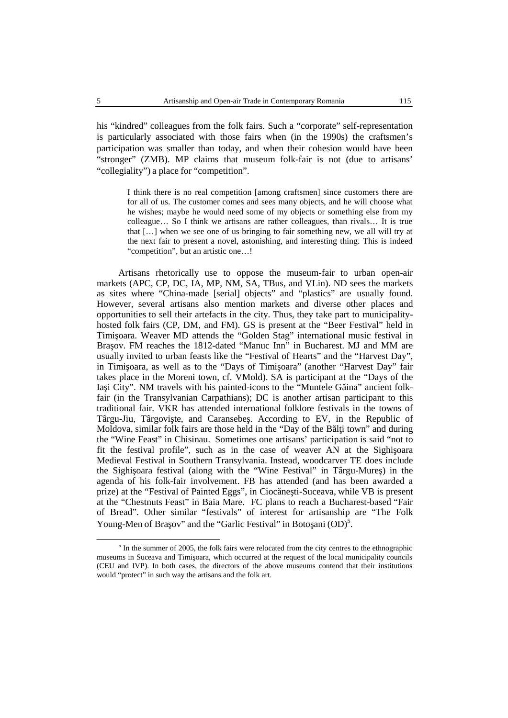his "kindred" colleagues from the folk fairs. Such a "corporate" self-representation is particularly associated with those fairs when (in the 1990s) the craftsmen's participation was smaller than today, and when their cohesion would have been "stronger" (ZMB). MP claims that museum folk-fair is not (due to artisans' "collegiality") a place for "competition".

I think there is no real competition [among craftsmen] since customers there are for all of us. The customer comes and sees many objects, and he will choose what he wishes; maybe he would need some of my objects or something else from my colleague… So I think we artisans are rather colleagues, than rivals… It is true that […] when we see one of us bringing to fair something new, we all will try at the next fair to present a novel, astonishing, and interesting thing. This is indeed "competition", but an artistic one…!

Artisans rhetorically use to oppose the museum-fair to urban open-air markets (APC, CP, DC, IA, MP, NM, SA, TBus, and VLin). ND sees the markets as sites where "China-made [serial] objects" and "plastics" are usually found. However, several artisans also mention markets and diverse other places and opportunities to sell their artefacts in the city. Thus, they take part to municipality hosted folk fairs (CP, DM, and FM). GS is present at the "Beer Festival" held in Timi oara. Weaver MD attends the "Golden Stag" international music festival in Bra ov. FM reaches the 1812-dated "Manuc Inn" in Bucharest. MJ and MM are usually invited to urban feasts like the "Festival of Hearts" and the "Harvest Day", in Timi oara, as well as to the "Days of Timi oara" (another "Harvest Day" fair takes place in the Moreni town, cf. VMold). SA is participant at the "Days of the Ia i City". NM travels with his painted-icons to the "Muntele G ina" ancient folkfair (in the Transylvanian Carpathians); DC is another artisan participant to this traditional fair. VKR has attended international folklore festivals in the towns of Târgu-Jiu, Târgovi te, and Caransebe. According to EV, in the Republic of Moldova, similar folk fairs are those held in the "Day of the B  $1$  i town" and during the "Wine Feast" in Chisinau. Sometimes one artisans' participation is said "not to fit the festival profile", such as in the case of weaver AN at the Sighi oara Medieval Festival in Southern Transylvania. Instead, woodcarver TE does include the Sighi oara festival (along with the "Wine Festival" in Târgu-Mure) in the agenda of his folk-fair involvement. FB has attended (and has been awarded a prize) at the "Festival of Painted Eggs", in Cioc ne ti-Suceava, while VB is present at the "Chestnuts Feast" in Baia Mare. FC plans to reach a Bucharest-based "Fair of Bread". Other similar "festivals" of interest for artisanship are "The Folk Young-Men of Bra  $\alpha$  ov" and the "Garlic Festival" in Boto ani $(OD)^5$ .

<sup>&</sup>lt;sup>5</sup> In the summer of 2005, the folk fairs were relocated from the city centres to the ethnographic museums in Suceava and Timi oara, which occurred at the request of the local municipality councils (CEU and IVP). In both cases, the directors of the above museums contend that their institutions would "protect" in such way the artisans and the folk art.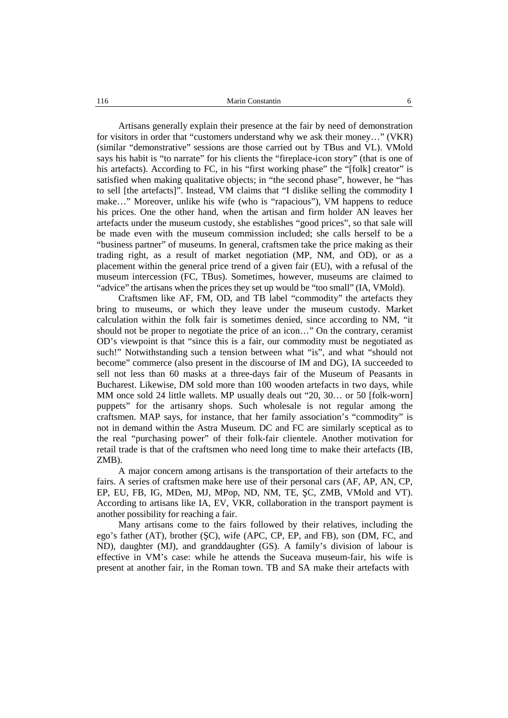Artisans generally explain their presence at the fair by need of demonstration for visitors in order that "customers understand why we ask their money…" (VKR) (similar "demonstrative" sessions are those carried outby TBus and VL). VMold says his habit is "to narrate" for his clients the "fireplace-icon story" (that is one of his artefacts). According to FC, in his "first working phase" the "[folk] creator" is satisfied when making qualitative objects; in "the second phase", however, he "has to sell [the artefacts]". Instead, VM claims that "I dislike selling the commodity I make…" Moreover, unlike his wife (who is "rapacious"), VM happens to reduce his prices. One the other hand, when the artisan and firm holder AN leaves her artefacts under the museum custody, she establishes "good prices", so that sale will be made even with the museum commission included; she calls herself to be a "business partner" of museums. In general, craftsmen take the price making as their trading right, as a result of market negotiation (MP, NM, and OD), or as a placement within the general price trend of a given fair (EU), with a refusal of the museum intercession (FC, TBus). Sometimes, however, museums are claimed to "advice" the artisans when the prices they set up would be "too small" (IA, VMold).

Craftsmen like AF, FM, OD, and TB label "commodity" the artefacts they bring to museums, or which they leave under the museum custody. Market calculation within the folk fair is sometimes denied, since according to NM, "it should not be proper to negotiate the price of an icon..." On the contrary, ceramist OD's viewpoint is that "since this is a fair, our commodity must be negotiated as such!" Notwithstanding such a tension between what "is", and what "should not become" commerce (also present in the discourse of IM and DG), IA succeeded to sell not less than 60 masks at a three-days fair of the Museum of Peasants in Bucharest. Likewise, DM sold more than 100 wooden artefacts in two days, while MM once sold 24 little wallets. MP usually deals out "20, 30… or 50 [folk-worn] puppets" for the artisanry shops. Such wholesale is not regular among the craftsmen. MAP says, for instance, that her family association's "commodity" is not in demand within the Astra Museum. DC and FC are similarly sceptical as to the real "purchasing power" of their folk-fair clientele. Another motivation for retail trade is that of the craftsmen who need long time to make their artefacts (IB, ZMB).

A major concern among artisans is the transportation of their artefacts to the fairs. A series of craftsmen make here use of their personal cars (AF, AP, AN, CP, EP, EU, FB, IG, MDen, MJ, MPop, ND, NM, TE, C, ZMB, VMold and VT). According to artisans like IA, EV, VKR, collaboration in the transport payment is another possibility for reaching a fair.

Many artisans come to the fairs followed by their relatives, including the ego's father (AT), brother (C), wife (APC, CP, EP, and FB), son (DM, FC, and ND), daughter (MJ), and granddaughter (GS). A family's division of labour is effective in VM's case: while he attends the Suceava museum-fair, his wife is present at another fair, in the Roman town. TB and SA make their artefacts with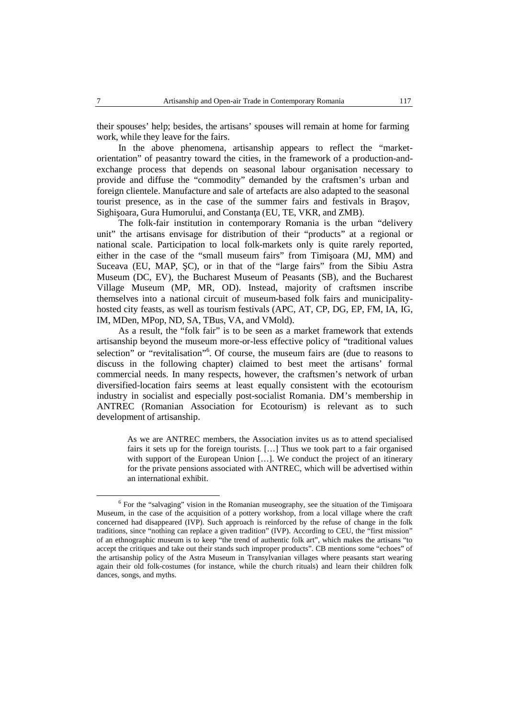their spouses' help; besides, the artisans' spouses will remain at home for farming work, while they leave for the fairs.

In the above phenomena, artisanship appears to reflect the "market orientation" of peasantry toward the cities, in the framework of a production-and exchange process that depends on seasonal labour organisation necessary to provide and diffuse the "commodity" demanded by the craftsmen's urban and foreign clientele. Manufacture and sale of artefacts are also adapted to the seasonal tourist presence, as in the case of the summer fairs and festivals in Bra ov, Sighi oara, Gura Humorului, and Constan a (EU, TE, VKR, and ZMB).

The folk-fair institution in contemporary Romania is the urban "delivery unit" the artisans envisage for distribution of their "products" ata regional or national scale. Participation to local folk-markets only is quite rarely reported, either in the case of the "small museum fairs" from Timi oara (MJ, MM) and Suceava (EU, MAP, C), or in that of the "large fairs" from the Sibiu Astra Museum (DC, EV), the Bucharest Museum of Peasants (SB), and the Bucharest Village Museum (MP, MR, OD). Instead, majority of craftsmen inscribe themselves into a national circuit of museum-based folk fairs and municipality hosted city feasts, as well as tourism festivals (APC, AT, CP, DG, EP, FM, IA, IG, IM, MDen, MPop, ND, SA, TBus, VA, and VMold).

As a result, the "folk fair" is to be seen as a market framework that extends artisanship beyond the museum more-or-less effective policy of "traditional values selection" or "revitalisation"<sup>6</sup>. Of course, the museum fairs are (due to reasons to discuss in the following chapter) claimed to best meet the artisans' formal commercial needs. In many respects, however, the craftsmen's network of urban diversified-location fairs seems at least equally consistent with the ecotourism industry in socialist and especially post-socialist Romania. DM's membership in ANTREC (Romanian Association for Ecotourism) is relevant as to such development of artisanship.

As we are ANTREC members, the Association invites us as to attend specialised fairs it sets up for the foreign tourists. […] Thus we took part to a fair organised with support of the European Union [...]. We conduct the project of an itinerary for the private pensions associated with ANTREC, which will be advertised within an international exhibit.

 $6$  For the "salvaging" vision in the Romanian museography, see the situation of the Timi oara Museum, in the case of the acquisition of a pottery workshop, from a local village where the craft concerned had disappeared (IVP). Such approach is reinforced by the refuse of change in the folk traditions, since "nothing can replace a given tradition" (IVP). According to CEU, the "first mission" of an ethnographic museum is tokeep "the trend of authentic folk art", which makes the artisans "to accept the critiques and take out their stands such improper products". CB mentions some "echoes" of the artisanship policy of the Astra Museum in Transylvanian villages where peasants start wearing again their old folk-costumes (for instance, while the church rituals) and learn their children folk dances, songs, and myths.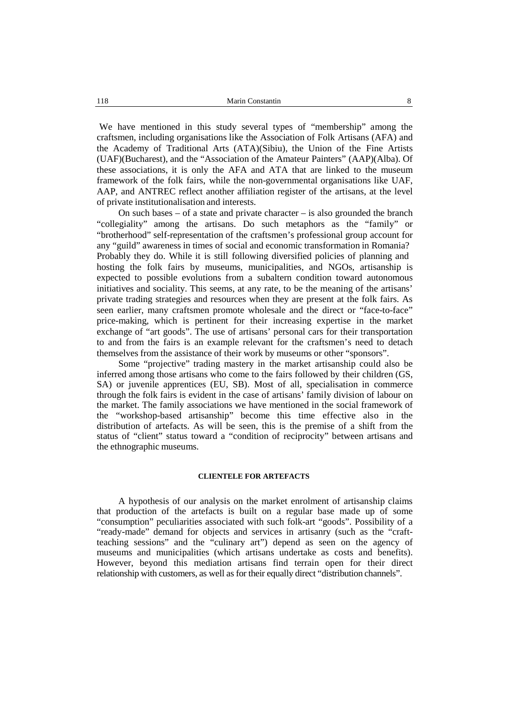We have mentioned in this study several types of "membership" among the craftsmen, including organisations like the Association of Folk Artisans (AFA) and the Academy of Traditional Arts (ATA)(Sibiu), the Union of the Fine Artists (UAF)(Bucharest), and the "Association of the Amateur Painters" (AAP)(Alba). Of these associations, it is only the AFA and ATA that are linked to the museum framework of the folk fairs, while the non-governmental organisations like UAF, AAP, and ANTREC reflect another affiliation register of the artisans, at the level of private institutionalisation and interests.

On such bases – of a state and private character – is also grounded the branch "collegiality" among the artisans. Do such metaphors as the "family" or "brotherhood" self-representation of the craftsmen's professional group account for any "guild" awareness in times of social and economic transformation in Romania? Probably they do. While it is still following diversified policies of planning and hosting the folk fairs by museums, municipalities, and NGOs, artisanship is expected to possible evolutions from a subaltern condition toward autonomous initiatives and sociality. This seems, at any rate, to be the meaning of the artisans' private trading strategies and resources when they are present at the folk fairs. As seen earlier, many craftsmen promote wholesale and the direct or "face-to-face" price-making, which is pertinent for their increasing expertise in the market exchange of "art goods". The use of artisans' personal cars for their transportation to and from the fairs is an example relevant for the craftsmen's need to detach themselves from the assistance of their work by museums or other "sponsors".

Some "projective" trading mastery in the market artisanship could also be inferred among those artisans who come to the fairs followed by their children (GS, SA) or juvenile apprentices (EU, SB). Most of all, specialisation in commerce through the folk fairs is evident in the case of artisans' family division of labour on the market. The family associations we have mentioned in the social framework of the "workshop-based artisanship" become this time effective also in the distribution of artefacts. As will be seen, this is the premise of a shift from the status of "client" status toward a "condition of reciprocity" between artisans and the ethnographic museums.

# **CLIENTELE FOR ARTEFACTS**

A hypothesis of our analysis on the market enrolment of artisanship claims that production of the artefacts is built on a regular base made up of some "consumption" peculiarities associated with such folk-art "goods". Possibility of a "ready-made" demand for objects and services in artisanry (such as the "craftteaching sessions" and the "culinary art") depend as seen on the agency of museums and municipalities (which artisans undertake as costs and benefits). However, beyond this mediation artisans find terrain open for their direct relationship with customers, as well as for their equally direct "distribution channels".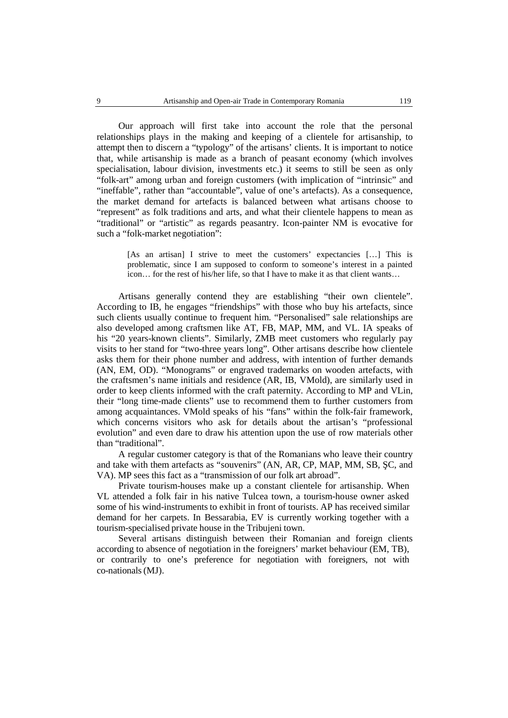Our approach will first take into account the role that the personal relationships plays in the making and keeping of a clientele for artisanship, to attempt then to discern a "typology" of the artisans' clients. It is important to notice that, while artisanship is made as a branch of peasant economy (which involves specialisation, labour division, investments etc.) it seems to still be seen as only "folk-art" among urban and foreign customers (with implication of "intrinsic" and "ineffable", rather than "accountable", value of one's artefacts). As a consequence, the market demand for artefacts is balanced between what artisans choose to "represent" as folk traditions and arts, and what their clientele happens to mean as "traditional" or "artistic" as regards peasantry. Icon-painter NM is evocative for such a "folk-market negotiation":

[As an artisan] I strive to meet the customers' expectancies […] This is problematic, since Iam supposed to conform to someone's interest in a painted icon… for the rest of his/her life, so that I have to make it as that client wants…

Artisans generally contend they are establishing "their own clientele". According to IB, he engages "friendships" with those who buy his artefacts, since such clients usually continue to frequent him. "Personalised" sale relationships are also developed among craftsmen like AT, FB, MAP, MM, and VL. IA speaks of his "20 years-known clients". Similarly, ZMB meet customers who regularly pay visits to her stand for "two-three years long". Other artisans describe how clientele asks them for their phone number and address, with intention of further demands (AN, EM, OD). "Monograms" or engraved trademarks on wooden artefacts, with the craftsmen's name initials and residence (AR, IB, VMold), are similarly used in order to keep clients informed with the craft paternity*.* According to MP and VLin, their "long time-made clients" use to recommend them to further customers from among acquaintances. VMold speaks of his "fans" within the folk-fair framework, which concerns visitors who ask for details about the artisan's "professional evolution" and even dare to draw his attention upon the use of row materials other than "traditional".

A regular customer category is that of the Romanians who leave their country and take with them artefacts as "souvenirs" (AN, AR, CP, MAP, MM, SB, C, and VA). MP sees this fact as a "transmission of our folk art abroad".

Private tourism-houses make up a constant clientele for artisanship. When VL attended a folk fair in his native Tulcea town, a tourism-house owner asked some of his wind-instruments to exhibit in front of tourists. AP has received similar demand for her carpets. In Bessarabia, EV is currently working together with a tourism-specialised private house in the Tribujeni town.

Several artisans distinguish between their Romanian and foreign clients according to absence of negotiation in the foreigners' market behaviour (EM, TB), or contrarily to one's preference for negotiation with foreigners, not with co-nationals(MJ).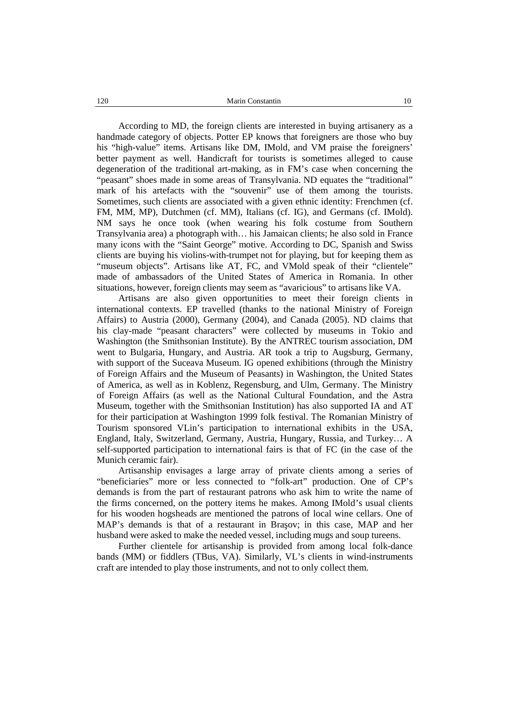According to MD, the foreign clients are interested in buying artisanery as a handmade category of objects. Potter EP knows that foreigners are those who buy his "high-value" items. Artisans like DM, IMold, and VM praise the foreigners' better payment as well. Handicraft for tourists is sometimes alleged to cause degeneration of the traditional art-making, as in FM's case when concerning the "peasant" shoes made in some areas of Transylvania. ND equates the "traditional" mark of his artefacts with the "souvenir" use of them among the tourists. Sometimes, such clients are associated with a given ethnic identity: Frenchmen (cf. FM, MM, MP), Dutchmen (cf. MM), Italians (cf. IG), and Germans (cf. IMold). NM says he once took (when wearing his folk costume from Southern Transylvania area) a photograph with… his Jamaican clients; he also sold in France many icons with the "Saint George" motive. According to DC, Spanish and Swiss clients are buying his violins-with-trumpet not for playing, but for keeping them as "museum objects". Artisans like AT, FC, and VMold speak of their "clientele" made of ambassadors of the United States of America in Romania. In other situations, however, foreign clients may seem as "avaricious" to artisans like VA.

Artisans are also given opportunities to meet their foreign clients in international contexts. EP travelled (thanks to the national Ministry of Foreign Affairs) to Austria (2000), Germany (2004), and Canada (2005). ND claims that his clay-made "peasant characters" were collected by museums in Tokio and Washington (the Smithsonian Institute). By the ANTREC tourism association, DM went to Bulgaria, Hungary, and Austria. AR took a trip to Augsburg, Germany, with support of the Suceava Museum. IG opened exhibitions (through the Ministry of Foreign Affairs and the Museum of Peasants) in Washington, the United States of America, as well as in Koblenz, Regensburg, and Ulm, Germany. The Ministry of Foreign Affairs (as well as the National Cultural Foundation, and the Astra Museum, together with the Smithsonian Institution) has also supported IA and AT for their participation at Washington 1999 folk festival. The Romanian Ministry of Tourism sponsored VLin's participation to international exhibits in the USA, England, Italy, Switzerland, Germany, Austria, Hungary, Russia, and Turkey… A self-supported participation to international fairs is that of FC (in the case of the Munich ceramic fair).

Artisanship envisages a large array of private clients among a series of "beneficiaries" more or less connected to "folk-art" production. One of CP's demands is from the part of restaurant patrons who ask him to write the name of the firms concerned, on the pottery items he makes. Among IMold's usual clients for his wooden hogsheads are mentioned the patrons of local wine cellars. One of MAP's demands is that of a restaurant in Bra ov; in this case, MAP and her husband were asked to make the needed vessel, including mugs and soup tureens.

Further clientele for artisanship is provided from among local folk-dance bands (MM) or fiddlers (TBus, VA). Similarly, VL's clients in wind-instruments craft are intended to play those instruments, and not to only collect them.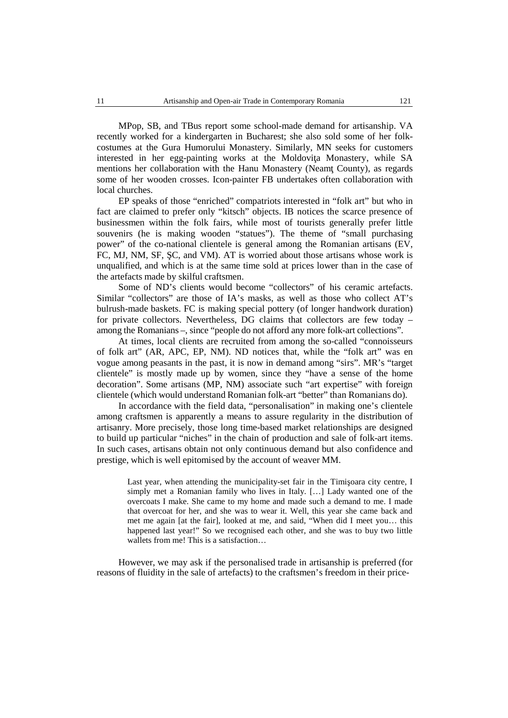MPop, SB, and TBus report some school-made demand for artisanship. VA recently worked for a kindergarten in Bucharest; she also sold some of her folk costumes at the Gura Humorului Monastery. Similarly, MN seeks for customers interested in her egg-painting works at the Moldovi a Monastery, while SA mentions her collaboration with the Hanu Monastery (Neam County), as regards some of her wooden crosses. Icon-painter FB undertakes often collaboration with local churches.

EP speaks of those "enriched" compatriots interested in "folk art" but who in fact are claimed to prefer only "kitsch" objects. IB notices the scarce presence of businessmen within the folk fairs, while most of tourists generally prefer little souvenirs (he is making wooden "statues"). The theme of "small purchasing power" of the co-national clientele is general among the Romanian artisans (EV, FC, MJ, NM, SF, C, and VM). AT is worried about those artisans whose work is unqualified, and which is at the same time sold at prices lower than in the case of the artefacts made by skilful craftsmen.

Some of ND's clients would become "collectors" of his ceramic artefacts. Similar "collectors" are those of IA's masks, as well as those who collect AT's bulrush-made baskets. FC is making special pottery (of longer handwork duration) for private collectors. Nevertheless, DG claims that collectors are few today – among the Romanians –, since "people do not afford any more folk-art collections".

At times, local clients are recruited from among the so-called "connoisseurs of folk art" (AR, APC, EP, NM). ND notices that, while the "folk art" was en vogue among peasants in the past, it is now in demand among "sirs". MR's "target clientele" is mostly made up by women, since they "have a sense of the home decoration". Some artisans (MP, NM) associate such "art expertise" with foreign clientele (which would understand Romanian folk-art "better" than Romanians do).

In accordance with the field data, "personalisation" in making one's clientele among craftsmen is apparently a means to assure regularity in the distribution of artisanry. More precisely, those long time-based market relationships are designed to build up particular "niches" in the chain of production and sale of folk-art items. In such cases, artisans obtain notonly continuous demand but also confidence and prestige, which is well epitomised by the account of weaver MM.

Last year, when attending the municipality-set fair in the Timi oara city centre, I simply met a Romanian family who lives in Italy. […] Lady wanted one of the overcoats I make. She came to my home and made such a demand to me.I made that overcoat for her, and she was to wear it. Well, this year she came back and met me again [at the fair], looked at me, and said, "When did I meet you… this happened last year!" So we recognised each other, and she was to buy two little wallets from me! This is a satisfaction…

However, we may ask if the personalised trade in artisanship is preferred (for reasons of fluidity in the sale of artefacts) to the craftsmen's freedom in their price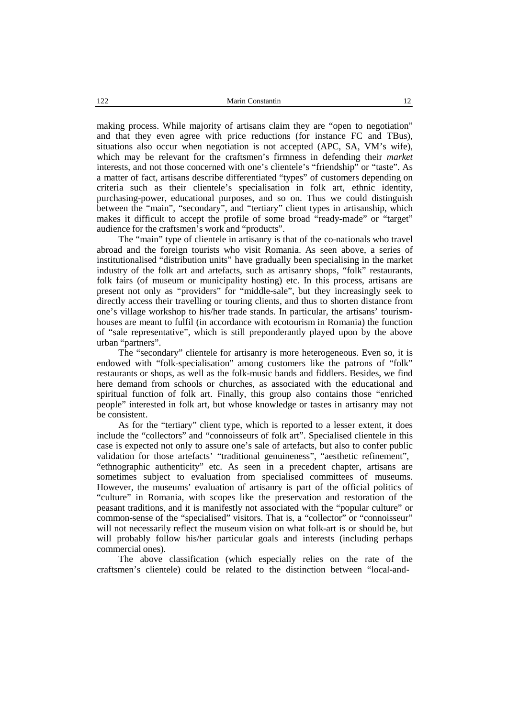making process. While majority of artisans claim they are "open to negotiation" and that they even agree with price reductions (for instance FC and TBus), situations also occur when negotiation is not accepted (APC, SA, VM's wife), which may be relevant for the craftsmen's firmness in defending their *market* interests, and not those concerned with one's clientele's "friendship" or "taste". As a matter of fact, artisans describe differentiated "types" of customers depending on criteria such as their clientele's specialisation in folk art, ethnic identity, purchasing-power, educational purposes, and so on. Thus we could distinguish between the "main", "secondary", and "tertiary" client types in artisanship, which makes it difficult to accept the profile of some broad "ready-made" or "target" audience for the craftsmen's work and "products".

The "main" type of clientele in artisanry is that of the co-nationals who travel abroad and the foreign tourists who visit Romania. As seen above, a series of institutionalised "distribution units" have gradually been specialising in the market industry of the folk art and artefacts, such as artisanry shops, "folk" restaurants, folk fairs (of museum or municipality hosting) etc. In this process, artisans are present not only as "providers" for "middle-sale", but they increasingly seek to directly access their travelling or touring clients, and thus to shorten distance from one's village workshop to his/her trade stands. In particular, the artisans' tourism houses are meant to fulfil (in accordance with ecotourism in Romania) the function of "sale representative", which is still preponderantly played upon by the above urban "partners".

The "secondary" clientele for artisanry is more heterogeneous. Even so, it is endowed with "folk-specialisation" among customers like the patrons of "folk" restaurants or shops, as well as the folk-music bands and fiddlers. Besides, we find here demand from schools or churches, as associated with the educational and spiritual function of folk art. Finally, this group also contains those "enriched" people" interested in folk art, but whose knowledge or tastes in artisanry may not be consistent.

As for the "tertiary" client type, which is reported to a lesser extent, it does include the "collectors" and "connoisseurs of folk art". Specialised clientele in this case is expected not only to assure one's sale of artefacts, but also to confer public validation for those artefacts' "traditional genuineness", "aesthetic refinement", "ethnographic authenticity" etc. As seen in a precedent chapter, artisans are sometimes subject to evaluation from specialised committees of museums. However, the museums' evaluation of artisanry is part of the official politics of "culture" in Romania, with scopes like the preservation and restoration of the peasant traditions, and it is manifestly not associated with the "popular culture" or common-sense of the "specialised" visitors. That is, a "collector" or "connoisseur" will not necessarily reflect the museum vision on what folk-art is or should be, but will probably follow his/her particular goals and interests (including perhaps commercial ones).

The above classification (which especially relies on the rate of the craftsmen's clientele) could be related to the distinction between "local-and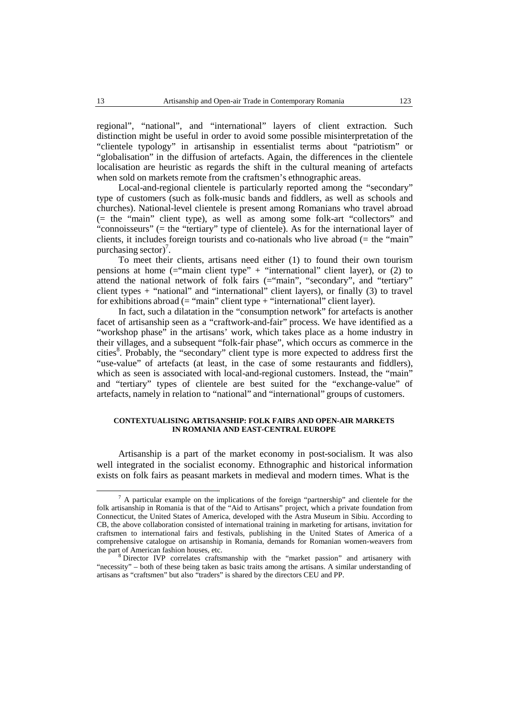regional", "national", and "international" layers of client extraction. Such distinction might be useful in order to avoid some possible misinterpretation of the "clientele typology" in artisanship in essentialist terms about "patriotism" or "globalisation" in the diffusion of artefacts. Again, the differences in the clientele localisation are heuristic as regards the shift in the cultural meaning of artefacts when sold on markets remote from the craftsmen's ethnographic areas.

Local-and-regional clientele is particularly reported among the "secondary" type of customers (such as folk-music bands and fiddlers, as well as schools and churches). National-level clientele is present among Romanians who travel abroad (= the "main" client type), as well as among some folk-art "collectors" and "connoisseurs" (= the "tertiary" type of clientele). As for the international layer of clients, it includes foreign tourists and co-nationals who live abroad  $(=$  the "main" purchasing sector)<sup>7</sup>.

To meet their clients, artisans need either (1) to found their own tourism pensions at home  $($ ="main client type" + "international" client layer), or (2) to attend the national network of folk fairs (="main", "secondary", and "tertiary" client types + "national" and "international" client layers), or finally (3) to travel for exhibitions abroad  $($  = "main" client type  $+$  "international" client layer).

In fact, such a dilatation in the "consumption network" for artefacts is another facet of artisanship seen as a "craftwork-and-fair" process. We have identified as a "workshop phase" in the artisans' work, which takes place as a home industry in their villages, and a subsequent "folk-fair phase", which occurs as commerce in the cities 8 . Probably, the "secondary" client type is more expected to address first the "use-value" of artefacts (at least, in the case of some restaurants and fiddlers), which as seen is associated with local-and-regional customers. Instead, the "main" and "tertiary" types of clientele are best suited for the "exchange-value" of artefacts, namely in relation to "national" and "international" groups of customers.

## **CONTEXTUALISING ARTISANSHIP: FOLK FAIRS AND OPEN-AIR MARKETS IN ROMANIA AND EAST-CENTRAL EUROPE**

Artisanship is a part of the market economy in post-socialism. It was also well integrated in the socialist economy. Ethnographic and historical information exists on folk fairs as peasant markets in medieval and modern times. What is the

 $7$  A particular example on the implications of the foreign "partnership" and clientele for the folk artisanship in Romania is that of the "Aid to Artisans" project, which a private foundation from Connecticut, the United States of America, developed with the Astra Museum in Sibiu. According to CB, the above collaboration consisted of international training in marketing for artisans, invitation for craftsmen to international fairs and festivals, publishing in the United States of America of a comprehensive catalogue on artisanship in Romania, demands for Romanian women-weavers from the part of American fashion houses, etc.<br><sup>8</sup> Director IVP correlates craftsmanship with the "market passion" and artisanery with

<sup>&</sup>quot;necessity" – both of these being taken as basic traits among the artisans. A similar understanding of artisans as "craftsmen" but also "traders" is shared by the directors CEU and PP.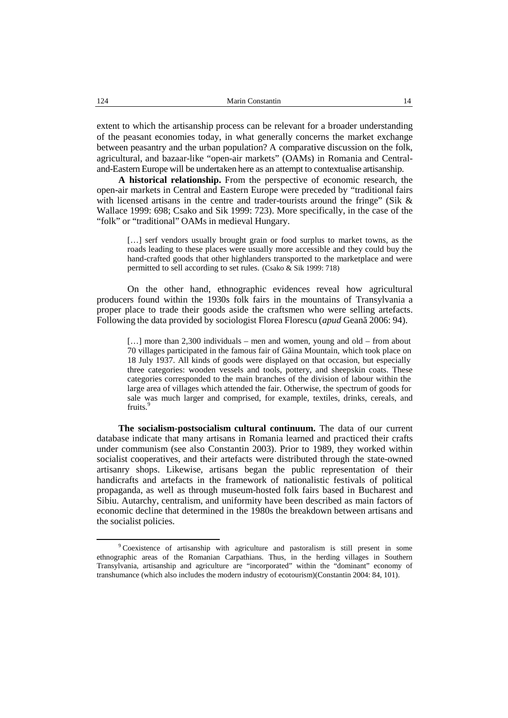extent to which the artisanship process can be relevant for a broader understanding of the peasant economies today, in what generally concerns the market exchange between peasantry and the urban population? A comparative discussion on the folk, agricultural, and bazaar-like "open-air markets" (OAMs) in Romania and Central and-Eastern Europe will be undertaken here as an attempt to contextualise artisanship.

**A historical relationship.** From the perspective of economic research, the open-air markets in Central and Eastern Europe were preceded by "traditional fairs with licensed artisans in the centre and trader-tourists around the fringe" (Sik & Wallace 1999: 698; Csako and Sik 1999: 723). More specifically, in the case of the "folk" or "traditional" OAMs in medieval Hungary.

[...] serf vendors usually brought grain or food surplus to market towns, as the roads leading to these places were usually more accessible and they could buy the hand-crafted goods that other highlanders transported to the marketplace and were permitted to sell according to set rules. (Csako & Sik 1999: 718)

On the other hand, ethnographic evidences reveal how agricultural producers found within the 1930s folk fairs in the mountains of Transylvania a proper place to trade their goods aside the craftsmen who were selling artefacts. Following the data provided by sociologist Florea Florescu (*apud* Gean 2006: 94).

[...] more than 2,300 individuals – men and women, young and old – from about  $70$  villages participated in the famous fair of G ina Mountain, which took place on 18 July 1937. All kinds of goods were displayed on that occasion, but especially three categories: wooden vessels and tools, pottery, and sheepskin coats. These categories corresponded to the main branches of the division of labour within the large area of villages which attended the fair. Otherwise, the spectrum of goods for sale was much larger and comprised, for example, textiles, drinks, cereals, and fruits.<sup>9</sup>

**The socialism-postsocialism cultural continuum.** The data of our current database indicate that many artisans in Romania learned and practiced their crafts under communism (see also Constantin 2003). Prior to 1989, they worked within socialist cooperatives, and their artefacts were distributed through the state-owned artisanry shops. Likewise, artisans began the public representation of their handicrafts and artefacts in the framework of nationalistic festivals of political propaganda, as well as through museum-hosted folk fairs based in Bucharest and Sibiu. Autarchy, centralism, and uniformity have been described as main factors of economic decline that determined in the 1980s the breakdown between artisans and the socialist policies.

<sup>9</sup> Coexistence of artisanship with agriculture and pastoralism is still present in some ethnographic areas of the Romanian Carpathians. Thus, in the herding villages in Southern Transylvania, artisanship and agriculture are "incorporated" within the "dominant" economy of transhumance (which also includes the modern industry of ecotourism)(Constantin 2004: 84, 101).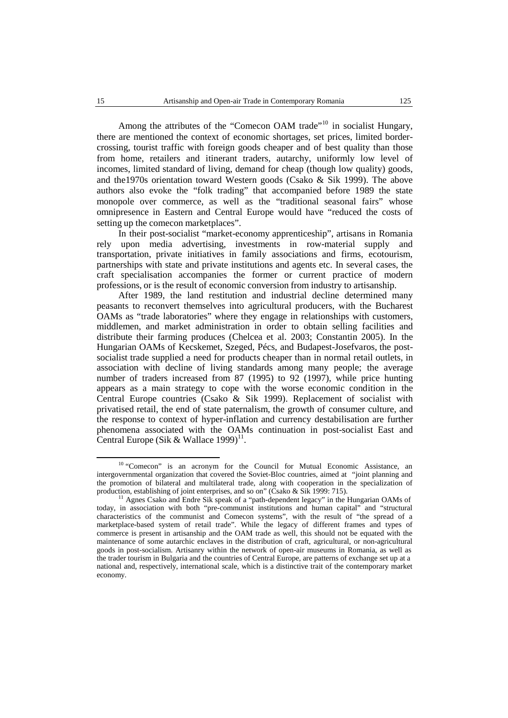Among the attributes of the "Comecon OAM trade"<sup>10</sup> in socialist Hungary, there are mentioned the context of economic shortages, set prices, limited border crossing, tourist traffic with foreign goods cheaper and of best quality than those from home, retailers and itinerant traders, autarchy, uniformly low level of incomes, limited standard of living, demand for cheap (though low quality) goods, and the1970s orientation toward Western goods (Csako & Sik 1999). The above authors also evoke the "folk trading" that accompanied before 1989 the state monopole over commerce, as well as the "traditional seasonal fairs" whose omnipresence in Eastern and Central Europe would have "reduced the costs of setting up the comecon marketplaces".

In their post-socialist "market-economy apprenticeship", artisans in Romania rely upon media advertising, investments in row-material supply and transportation, private initiatives in family associations and firms, ecotourism, partnerships with state and private institutions and agents etc. In several cases, the craft specialisation accompanies the former or current practice of modern professions, or is the result of economic conversion from industry to artisanship.

After 1989, the land restitution and industrial decline determined many peasants to reconvert themselves into agricultural producers, with the Bucharest OAMs as "trade laboratories" where they engage in relationships with customers, middlemen, and market administration in order to obtain selling facilities and distribute their farming produces (Chelcea et al. 2003; Constantin 2005). In the Hungarian OAMs of Kecskemet, Szeged, Pécs, and Budapest-Josefvaros, the post socialist trade supplied a need for products cheaper than in normal retail outlets, in association with decline of living standards among many people; the average number of traders increased from 87 (1995) to 92 (1997), while price hunting appears as a main strategy to cope with the worse economic condition in the Central Europe countries (Csako & Sik 1999). Replacement of socialist with privatised retail, the end of state paternalism, the growth of consumer culture, and the response to context of hyper-inflation and currency destabilisation are further phenomena associated with the OAMs continuation in post-socialist East and Central Europe (Sik & Wallace 1999)<sup>11</sup>.

<sup>&</sup>lt;sup>10</sup> "Comecon" is an acronym for the Council for Mutual Economic Assistance, an intergovernmental organization that covered the Soviet-Bloc countries, aimed at "joint planning and the promotion of bilateral and multilateral trade, along with cooperation in the specialization of production establishing of ioint enterprises, and so on" (Csako & Sik 1999; 715).

<sup>&</sup>lt;sup>11</sup> Agnes Csako and Endre Sik speak of a "path-dependent legacy" in the Hungarian OAMs of today, in association with both "pre-communist institutions and human capital" and "structural characteristics of the communist and Comecon systems", with the result of "the spread of a marketplace-based system of retail trade". While the legacy of different frames and types of commerce is present in artisanship and the OAM trade as well, this should not be equated with the maintenance of some autarchic enclaves in the distribution of craft, agricultural, or non-agricultural goods in post-socialism. Artisanry within the network of open-air museums in Romania, as well as the trader tourism in Bulgaria and the countries of Central Europe, are patterns of exchange set up at a national and, respectively, international scale, which is a distinctive trait of the contemporary market economy.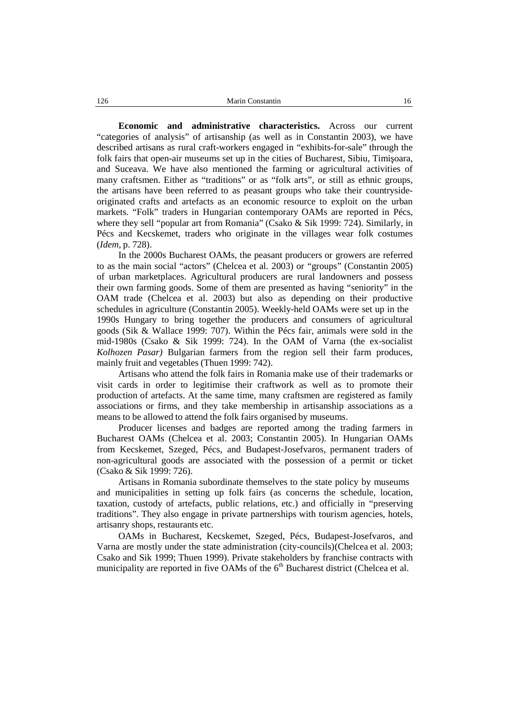**Economic and administrative characteristics.** Across our current "categories of analysis" of artisanship (as well as in Constantin 2003), we have described artisans as rural craft-workers engaged in "exhibits-for-sale" through the folk fairs that open-air museums set up in the cities of Bucharest, Sibiu, Timi oara, and Suceava. We have also mentioned the farming oragricultural activities of many craftsmen. Either as "traditions" or as "folk arts", or still as ethnic groups, the artisans have been referred to as peasant groups who take their countryside originated crafts and artefacts as an economic resource to exploit on the urban markets. "Folk" traders in Hungarian contemporary OAMs are reported in Pécs, where they sell "popular art from Romania" (Csako  $\&$  Sik 1999: 724). Similarly, in Pécs and Kecskemet, traders who originate in the villages wear folk costumes (*Idem*, p. 728).

In the 2000s Bucharest OAMs, the peasant producers or growers are referred to as the main social "actors" (Chelcea et al. 2003) or "groups" (Constantin 2005) of urban marketplaces. Agricultural producers are rural landowners and possess their own farming goods. Some of them are presented as having "seniority" in the OAM trade (Chelcea et al. 2003) but also as depending on their productive schedules in agriculture (Constantin 2005). Weekly-held OAMs were set up in the 1990s Hungary to bring together the producers and consumers of agricultural goods (Sik & Wallace 1999: 707). Within the Pécs fair, animals were sold in the mid-1980s (Csako & Sik 1999: 724). In the OAM of Varna (the ex-socialist *Kolhozen Pasar)* Bulgarian farmers from the region sell their farm produces, mainly fruit and vegetables (Thuen 1999: 742).

Artisans who attend the folk fairs in Romania make use of their trademarks or visit cards in order to legitimise their craftwork as well as to promote their production of artefacts. At the same time, many craftsmen are registered as family associations or firms, and they take membership in artisanship associations as a means to be allowed to attend the folk fairs organised by museums.

Producer licenses and badges are reported among the trading farmers in Bucharest OAMs (Chelcea et al. 2003; Constantin 2005). In Hungarian OAMs from Kecskemet, Szeged, Pécs, and Budapest-Josefvaros, permanent traders of non-agricultural goods are associated with the possession of a permit or ticket (Csako & Sik 1999: 726).

Artisans in Romania subordinate themselves to the state policy by museums and municipalities in setting up folk fairs (as concerns the schedule, location, taxation, custody of artefacts, public relations, etc.) and officially in "preserving traditions". They also engage in private partnerships with tourism agencies, hotels, artisanry shops, restaurants etc.

OAMs in Bucharest, Kecskemet, Szeged, Pécs, Budapest-Josefvaros, and Varna are mostly under the state administration (city-councils)(Chelcea et al. 2003; Csako and Sik 1999; Thuen 1999). Private stakeholders by franchise contracts with municipality are reported in five OAMs of the 6<sup>th</sup> Bucharest district (Chelcea et al.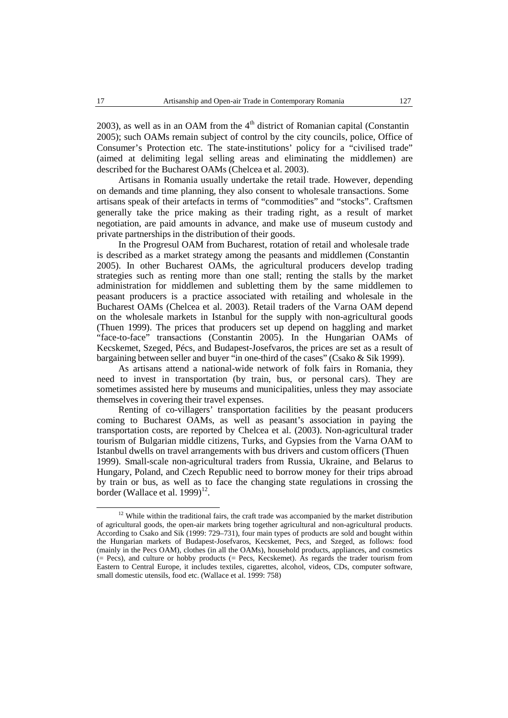2003), as well as in an OAM from the  $4<sup>th</sup>$  district of Romanian capital (Constantin 2005); such OAMs remain subject of control by the city councils, police, Office of Consumer's Protection etc. The state-institutions' policy for a "civilised trade" (aimed at delimiting legal selling areas and eliminating the middlemen) are described for the Bucharest OAMs (Chelcea et al. 2003).

Artisans in Romania usually undertake the retail trade. However, depending on demands and time planning, they also consent to wholesale transactions. Some artisans speak of their artefacts in terms of "commodities" and "stocks". Craftsmen generally take the price making as their trading right, as a result of market negotiation, are paid amounts in advance, and make use of museum custody and private partnerships in the distribution of their goods.

In the Progresul OAM from Bucharest, rotation of retail and wholesale trade is described as a market strategy among the peasants and middlemen (Constantin 2005). In other Bucharest OAMs, the agricultural producers develop trading strategies such as renting more than one stall; renting the stalls by the market administration for middlemen and subletting them by the same middlemen to peasant producers is a practice associated with retailing and wholesale in the Bucharest OAMs (Chelcea et al. 2003). Retail traders of the Varna OAM depend on the wholesale markets in Istanbul for the supply with non-agricultural goods (Thuen 1999). The prices that producers set up depend on haggling and market "face-to-face" transactions (Constantin 2005). In the Hungarian OAMs of Kecskemet, Szeged, Pécs, and Budapest-Josefvaros, the prices are set as a result of bargaining between seller and buyer "in one-third of the cases" (Csako & Sik 1999).

As artisans attend a national-wide network of folk fairs in Romania, they need to invest in transportation (by train, bus, or personal cars). They are sometimes assisted here by museums and municipalities, unless they may associate themselves in covering their travel expenses.

Renting of co-villagers' transportation facilities by the peasant producers coming to Bucharest OAMs, as well as peasant's association in paying the transportation costs, are reported by Chelcea et al. (2003). Non-agricultural trader tourism of Bulgarian middle citizens, Turks, and Gypsies from the Varna OAM to Istanbul dwells on travel arrangements with bus drivers and custom officers (Thuen 1999). Small-scale non-agricultural traders from Russia, Ukraine, and Belarus to Hungary, Poland, and Czech Republic need to borrow money for their trips abroad by train orbus, as well as to face the changing state regulations in crossing the border (Wallace et al. 1999)<sup>12</sup>.

<sup>&</sup>lt;sup>12</sup> While within the traditional fairs, the craft trade was accompanied by the market distribution of agricultural goods, the open-air markets bring together agricultural and non-agricultural products. According to Csako and Sik (1999: 729–731), four main types of products are sold and bought within the Hungarian markets of Budapest-Josefvaros, Kecskemet, Pecs, and Szeged, as follows: food (mainly in the Pecs OAM), clothes (in all the OAMs), household products, appliances, and cosmetics  $(= Pecs)$ , and culture or hobby products  $(= Pecs, Kecskem)$ . As regards the trader tourism from Eastern to Central Europe, it includes textiles, cigarettes, alcohol, videos, CDs, computer software, small domestic utensils, food etc. (Wallace et al. 1999: 758)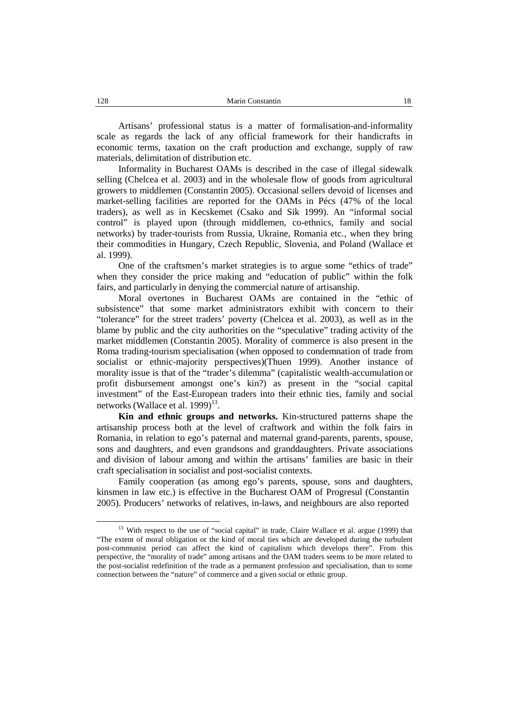Artisans' professional status is a matter of formalisation-and-informality scale as regards the lack of any official framework for their handicrafts in economic terms, taxation on the craft production and exchange, supply of raw materials, delimitation of distribution etc.

Informality in Bucharest OAMs is described in the case of illegal sidewalk selling (Chelcea et al. 2003) and in the wholesale flow of goods from agricultural growers to middlemen (Constantin 2005). Occasional sellers devoid of licenses and market-selling facilities are reported for the OAMs in Pécs (47% of the local traders), as well as in Kecskemet (Csako and Sik 1999). An "informal social control" is played upon (through middlemen, co-ethnics, family and social networks) by trader-tourists from Russia, Ukraine, Romania etc., when they bring their commodities in Hungary, Czech Republic, Slovenia, and Poland (Wallace et al. 1999).

One of the craftsmen's market strategies is to argue some "ethics of trade" when they consider the price making and "education of public" within the folk fairs, and particularly in denying the commercial nature of artisanship.

Moral overtones in Bucharest OAMs are contained in the "ethic of subsistence" that some market administrators exhibit with concern to their "tolerance" for the street traders' poverty (Chelcea et al. 2003), as well as in the blame by public and the city authorities on the "speculative" trading activity of the market middlemen (Constantin 2005). Morality of commerce is also present in the Roma trading-tourism specialisation (when opposed to condemnation of trade from socialist or ethnic-majority perspectives)(Thuen 1999). Another instance of morality issue is that of the "trader's dilemma" (capitalistic wealth-accumulation or profit disbursement amongst one's kin?) as present in the "social capital investment" of the East-European traders into their ethnic ties, family and social networks (Wallace et al. 1999)<sup>13</sup>.

**Kin and ethnic groups and networks.** Kin-structured patterns shape the artisanship process both at the level of craftwork and within the folk fairs in Romania, in relation to ego's paternal and maternal grand-parents, parents, spouse, sons and daughters, and even grandsons and granddaughters. Private associations and division of labour among and within the artisans' families are basic in their craft specialisation in socialist and post-socialist contexts.

Family cooperation (as among ego's parents, spouse, sons and daughters, kinsmen in law etc.) is effective in the Bucharest OAM of Progresul (Constantin 2005). Producers' networks of relatives, in-laws, and neighbours are also reported

<sup>&</sup>lt;sup>13</sup> With respect to the use of "social capital" in trade, Claire Wallace et al. argue (1999) that "The extent of moral obligation or the kind of moral ties which are developed during the turbulent post-communist period can affect the kind of capitalism which develops there". From this perspective, the "morality of trade" among artisans and the OAM traders seems to be more related to the post-socialist redefinition of the trade as a permanent profession and specialisation, than to some connection between the "nature" of commerce and a given social or ethnic group.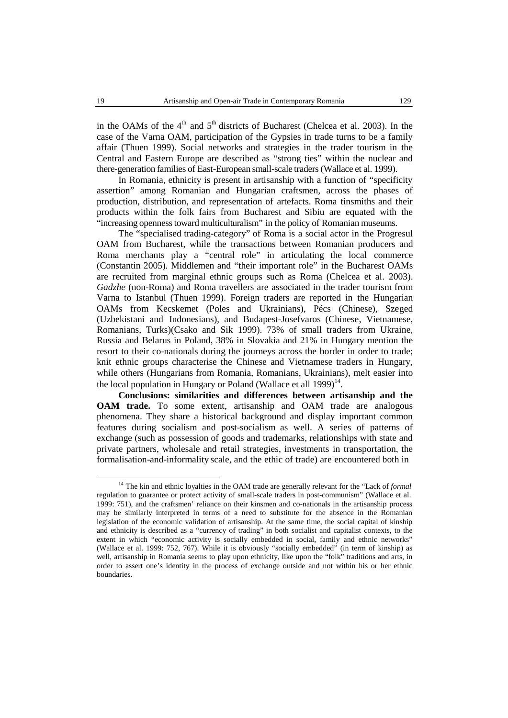in the OAMs of the  $4<sup>th</sup>$  and  $5<sup>th</sup>$  districts of Bucharest (Chelcea et al. 2003). In the case of the Varna OAM, participation of the Gypsies in trade turns to be a family affair (Thuen 1999). Social networks and strategies in the trader tourism in the Central and Eastern Europe are described as "strong ties" within the nuclear and there-generation families of East-European small-scale traders (Wallace et al. 1999).

In Romania, ethnicity is present in artisanship with a function of "specificity assertion" among Romanian and Hungarian craftsmen, across the phases of production, distribution, and representation of artefacts. Roma tinsmiths and their products within the folk fairs from Bucharest and Sibiu are equated with the "increasing opennesstoward multiculturalism" in the policy of Romanian museums.

The "specialised trading-category" of Roma is a social actor in the Progresul OAM from Bucharest, while the transactions between Romanian producers and Roma merchants play a "central role" in articulating the local commerce (Constantin 2005). Middlemen and "their important role" in the Bucharest OAMs are recruited from marginal ethnic groups such as Roma (Chelcea et al. 2003). *Gadzhe* (non-Roma) and Roma travellers are associated in the trader tourism from Varna to Istanbul (Thuen 1999). Foreign traders are reported in the Hungarian OAMs from Kecskemet (Poles and Ukrainians), Pécs (Chinese), Szeged (Uzbekistani and Indonesians), and Budapest-Josefvaros (Chinese, Vietnamese, Romanians, Turks)(Csako and Sik 1999). 73% of small traders from Ukraine, Russia and Belarus in Poland, 38% in Slovakia and 21% in Hungary mention the resort to their co-nationals during the journeys across the border in order to trade; knit ethnic groups characterise the Chinese and Vietnamese traders in Hungary, while others (Hungarians from Romania, Romanians, Ukrainians), melt easier into the local population in Hungary or Poland (Wallace et all 1999)<sup>14</sup>.

**Conclusions: similarities and differences between artisanship and the OAM trade.** To some extent, artisanship and OAM trade are analogous phenomena. They share a historical background and display important common features during socialism and post-socialism as well.A series of patterns of exchange (such as possession of goods and trademarks, relationships with state and private partners, wholesale and retail strategies, investments in transportation, the formalisation-and-informality scale, and the ethic of trade) are encountered both in

<sup>14</sup> The kin and ethnic loyalties in the OAM trade are generally relevant for the "Lack of *formal* regulation to guarantee or protect activity of small-scale traders in post-communism" (Wallace et al. 1999: 751), and the craftsmen' reliance on their kinsmen and co-nationals in the artisanship process may be similarly interpreted in terms of a need to substitute for the absence in the Romanian legislation of the economic validation of artisanship. At the same time, the social capital of kinship and ethnicity is described as a "currency of trading" in both socialist and capitalist contexts, to the extent in which "economic activity is socially embedded in social, family and ethnic networks" (Wallace et al. 1999: 752, 767). While it is obviously "socially embedded" (in term of kinship) as well, artisanship in Romania seems to play upon ethnicity, like upon the "folk" traditions and arts, in order to assert one's identity in the process of exchange outside and not within his or her ethnic boundaries.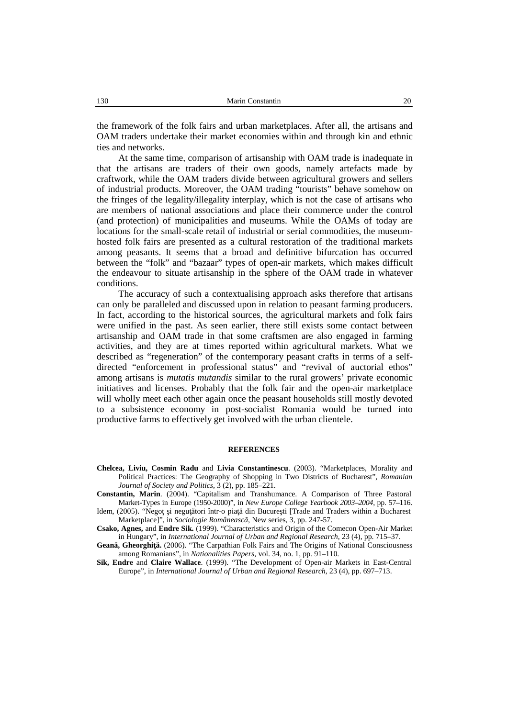the framework of the folk fairs and urban marketplaces. After all, the artisans and OAM traders undertake their market economies within and through kin and ethnic ties and networks.

At the same time, comparison of artisanship with OAM trade is inadequate in that the artisans are traders of their own goods, namely artefacts made by craftwork, while the OAM traders divide between agricultural growers and sellers of industrial products. Moreover, the OAM trading "tourists" behave somehow on the fringes of the legality/illegality interplay, which is not the case of artisans who are members of national associations and place their commerce under the control (and protection) of municipalities and museums. While the OAMs of today are locations for the small-scale retail of industrial or serial commodities, the museum hosted folk fairs are presented as a cultural restoration of the traditional markets among peasants. It seems that a broad and definitive bifurcation has occurred between the "folk" and "bazaar" types of open-air markets, which makes difficult the endeavour to situate artisanship in the sphere of the OAM trade in whatever conditions.

The accuracy of such a contextualising approach asks therefore that artisans can only be paralleled and discussed upon in relation to peasant farming producers. In fact, according to the historical sources, the agricultural markets and folk fairs were unified in the past. As seen earlier, there still exists some contact between artisanship and OAM trade in that some craftsmen are also engaged in farming activities, and they are at times reported within agricultural markets. What we described as "regeneration" of the contemporary peasant crafts in terms of a self directed "enforcement in professional status" and "revival of auctorial ethos" among artisans is *mutatis mutandis* similar to the rural growers' private economic initiatives and licenses. Probably that the folk fair and the open-air marketplace will wholly meet each other again once the peasant households still mostly devoted to a subsistence economy in post-socialist Romania would be turned into productive farms to effectively get involved with the urban clientele.

#### **REFERENCES**

- **Chelcea, Liviu, Cosmin Radu** and **Livia Constantinescu**. (2003). "Marketplaces, Morality and Political Practices: The Geography of Shopping in Two Districts of Bucharest", *Romanian Journal of Society and Politics*, 3 (2), pp. 185–221.
- Constantin, Marin. (2004). "Capitalism and Transhumance. A Comparison of Three Pastoral Market-Types in Europe (1950-2000)", in *New Europe College Yearbook 2003–2004*, pp. 57–116.
- Idem, (2005). "Nego i negu tori într-o pia din Bucure ti [Trade and Traders within a Bucharest Marketplace]", in *Sociologie Româneasc* , New series, 3, pp. 247-57.
- **Csako, Agnes,** and **Endre Sik.** (1999). "Characteristics and Origin of the Comecon Open-Air Market in Hungary", in *International Journal of Urban and Regional Research*, 23 (4), pp. 715–37.

Gean, Gheorghi . (2006). "The Carpathian Folk Fairs and The Origins of National Consciousness among Romanians", in *Nationalities Papers*, vol. 34, no. 1, pp. 91–110.

**Sik, Endre** and **Claire Wallace**. (1999). "The Development of Open-air Markets in East-Central Europe", in *International Journal of Urban and Regional Research*, 23 (4), pp. 697–713.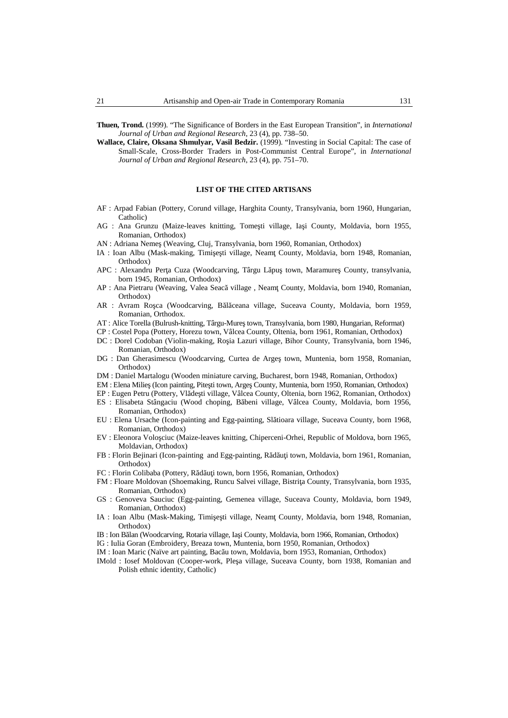- **Thuen, Trond.** (1999). "The Significance of Borders in the East European Transition", in *International Journal of Urban and Regional Research*, 23 (4), pp. 738–50.
- **Wallace, Claire, Oksana Shmulyar, Vasil Bedzir.** (1999). "Investing in Social Capital: The case of Small-Scale, Cross-Border Traders in Post-Communist Central Europe", in *International Journal of Urban and Regional Research*, 23 (4), pp. 751–70.

### **LIST OF THE CITED ARTISANS**

- AF : Arpad Fabian (Pottery, Corund village, Harghita County, Transylvania, born 1960, Hungarian, Catholic)
- AG : Ana Grunzu (Maize-leaves knitting, Tome ti village, Ia i County, Moldavia, born 1955, Romanian, Orthodox)
- AN : Adriana Neme (Weaving, Cluj, Transylvania, born 1960, Romanian, Orthodox)
- IA : Ioan Albu (Mask-making, Timi e ti village, Neam County, Moldavia, born 1948, Romanian, Orthodox)
- APC : Alexandru Per a Cuza (Woodcarving, Târgu L pu town, Maramure County, transylvania, born 1945, Romanian, Orthodox)
- AP : Ana Pietraru (Weaving, Valea Seac village , Neam County, Moldavia, born 1940, Romanian, Orthodox)
- AR : Avram Ro ca (Woodcarving, B l ceana village, Suceava County, Moldavia, born 1959, Romanian, Orthodox.
- AT : Alice Torella (Bulrush-knitting, Târgu-Mure town, Transylvania, born 1980, Hungarian, Reformat)
- CP : Costel Popa (Pottery, Horezu town, Vâlcea County, Oltenia, born 1961, Romanian, Orthodox)
- DC : Dorel Codoban (Violin-making, Ro ia Lazuri village, Bihor County, Transylvania, born 1946, Romanian, Orthodox)
- DG : Dan Gherasimescu (Woodcarving, Curtea de Arge town, Muntenia, born 1958, Romanian, Orthodox)
- DM : Daniel Martalogu (Wooden miniature carving, Bucharest, born 1948, Romanian, Orthodox)
- EM : Elena Milie (Icon painting, Pite ti town, Arge County, Muntenia, born 1950, Romanian, Orthodox)
- EP : Eugen Petru (Pottery, Vl de ti village, Vâlcea County, Oltenia, born 1962, Romanian, Orthodox)
- ES : Elisabeta Stângaciu (Wood choping, B beni village, Vâlcea County, Moldavia, born 1956, Romanian, Orthodox)
- EU : Elena Ursache (Icon-painting and Egg-painting, Slătioara village, Suceava County, born 1968, Romanian, Orthodox)
- EV : Eleonora Voloşciuc (Maize-leaves knitting, Chiperceni-Orhei, Republic of Moldova, born 1965, Moldavian, Orthodox)
- FB : Florin Bejinari (Icon-painting and Egg-painting, R d u i town, Moldavia, born 1961, Romanian, Orthodox)
- FC : Florin Colibaba (Pottery, R d u i town, born 1956, Romanian, Orthodox)
- FM : Floare Moldovan (Shoemaking, Runcu Salvei village, Bistri a County, Transylvania, born 1935, Romanian, Orthodox)
- GS : Genoveva Sauciuc (Egg-painting, Gemenea village, Suceava County, Moldavia, born 1949, Romanian, Orthodox)
- IA : Ioan Albu (Mask-Making, Timi e ti village, Neam County, Moldavia, born 1948, Romanian, Orthodox)
- IB : Ion B lan (Woodcarving, Rotaria village, Ia i County, Moldavia, born 1966, Romanian, Orthodox)
- IG : Iulia Goran (Embroidery, Breaza town, Muntenia, born 1950, Romanian, Orthodox)
- IM : Ioan Maric (Naïve art painting, Bac u town, Moldavia, born 1953, Romanian, Orthodox)
- IMold : Iosef Moldovan (Cooper-work, Ple a village, Suceava County, born 1938, Romanian and Polish ethnic identity, Catholic)